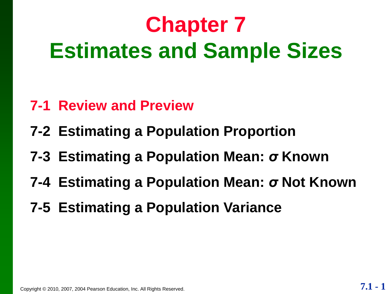# **Chapter 7 Estimates and Sample Sizes**

- **7-1 Review and Preview**
- **7-2 Estimating a Population Proportion**
- **7-3 Estimating a Population Mean:** *σ* **Known**
- **7-4 Estimating a Population Mean:** *σ* **Not Known**
- **7-5 Estimating a Population Variance**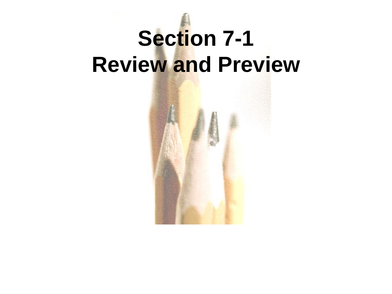# **Section 7-1 Review and Preview**

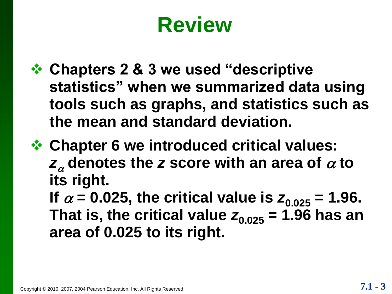## **Review**

- **☆ Chapters 2 & 3 we used "descriptive statistics‖ when we summarized data using tools such as graphs, and statistics such as the mean and standard deviation.**
- **Chapter 6 we introduced critical values:**  $\mathbf{z}_{\alpha}$  denotes the *z* score with an area of  $\alpha$  to **its right.**

**If**  $\alpha$  = 0.025, the critical value is  $z_{0.025}$  = 1.96. That is, the critical value  $z_{0.025}$  = 1.96 has an **area of 0.025 to its right.**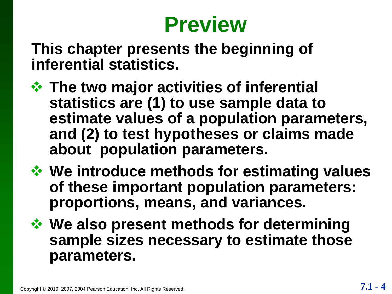#### **Preview**

**This chapter presents the beginning of inferential statistics.**

- **The two major activities of inferential statistics are (1) to use sample data to estimate values of a population parameters, and (2) to test hypotheses or claims made about population parameters.**
- *❖* **We introduce methods for estimating values of these important population parameters: proportions, means, and variances.**

 **We also present methods for determining sample sizes necessary to estimate those parameters.**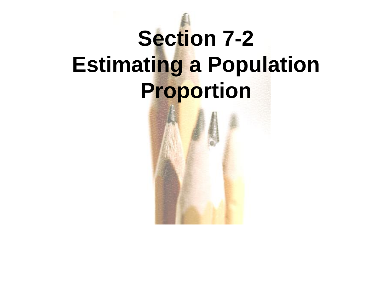# **Section 7-2 Estimating a Population Proportion**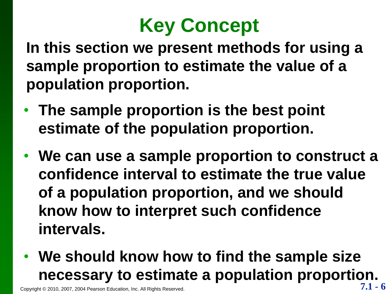

**In this section we present methods for using a sample proportion to estimate the value of a population proportion.**

- **The sample proportion is the best point estimate of the population proportion.**
- **We can use a sample proportion to construct a confidence interval to estimate the true value of a population proportion, and we should know how to interpret such confidence intervals.**
- **We should know how to find the sample size necessary to estimate a population proportion.**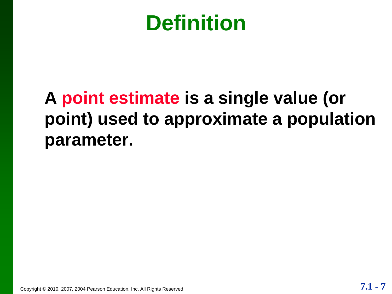#### **Definition**

#### **A point estimate is a single value (or point) used to approximate a population parameter.**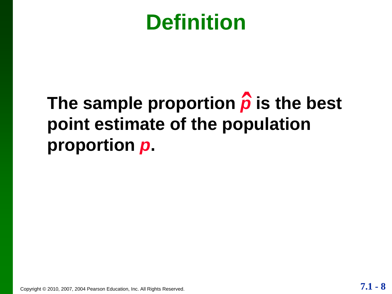#### **Definition**

#### **The sample proportion** *p* **is the best point estimate of the population proportion** *p***. ˆ**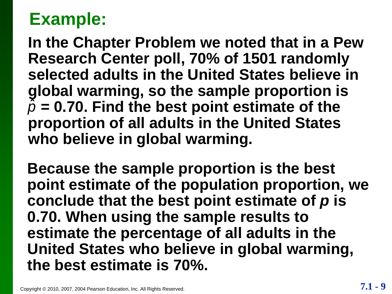**In the Chapter Problem we noted that in a Pew Research Center poll, 70% of 1501 randomly selected adults in the United States believe in global warming, so the sample proportion is**   $\tilde{\rho}$  = 0.70. Find the best point estimate of the **proportion of all adults in the United States who believe in global warming.**

**Because the sample proportion is the best point estimate of the population proportion, we conclude that the best point estimate of** *p* **is 0.70. When using the sample results to estimate the percentage of all adults in the United States who believe in global warming, the best estimate is 70%.**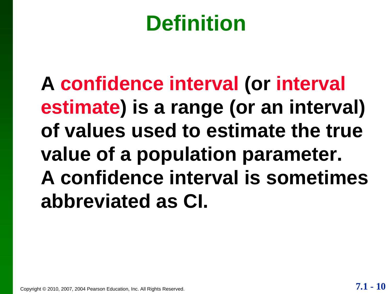## **Definition**

**A confidence interval (or interval estimate) is a range (or an interval) of values used to estimate the true value of a population parameter. A confidence interval is sometimes abbreviated as CI.**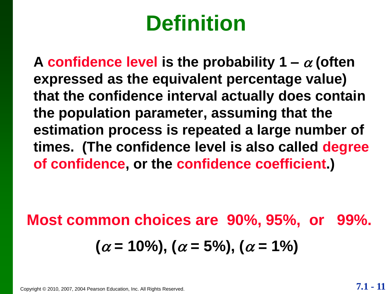## **Definition**

A confidence level is the probability  $1 - \alpha$  (often **expressed as the equivalent percentage value) that the confidence interval actually does contain the population parameter, assuming that the estimation process is repeated a large number of times. (The confidence level is also called degree of confidence, or the confidence coefficient.)**

#### **Most common choices are 90%, 95%, or 99%.**  $(\alpha = 10\%)$ ,  $(\alpha = 5\%)$ ,  $(\alpha = 1\%)$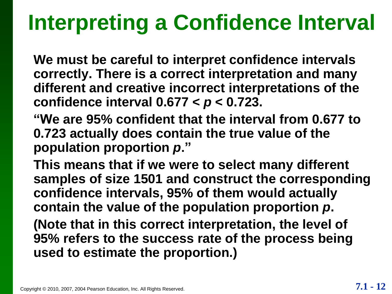## **Interpreting a Confidence Interval**

**We must be careful to interpret confidence intervals correctly. There is a correct interpretation and many different and creative incorrect interpretations of the confidence interval 0.677 <** *p* **< 0.723.**

**―We are 95% confident that the interval from 0.677 to 0.723 actually does contain the true value of the population proportion p."** 

**This means that if we were to select many different samples of size 1501 and construct the corresponding confidence intervals, 95% of them would actually contain the value of the population proportion** *p***.**

**(Note that in this correct interpretation, the level of 95% refers to the success rate of the process being used to estimate the proportion.)**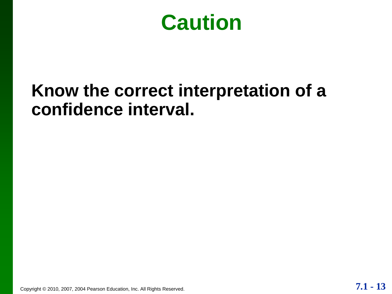**Caution**

#### **Know the correct interpretation of a confidence interval.**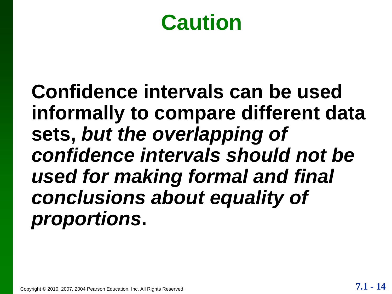#### **Caution**

**Confidence intervals can be used informally to compare different data sets,** *but the overlapping of confidence intervals should not be used for making formal and final conclusions about equality of proportions***.**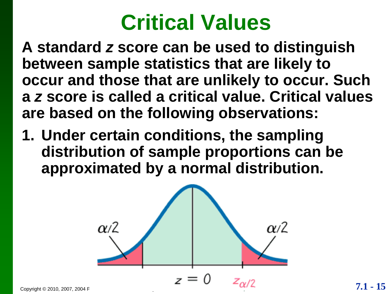#### **Critical Values**

**A standard** *z* **score can be used to distinguish between sample statistics that are likely to occur and those that are unlikely to occur. Such a** *z* **score is called a critical value. Critical values are based on the following observations:**

**1. Under certain conditions, the sampling distribution of sample proportions can be approximated by a normal distribution.**

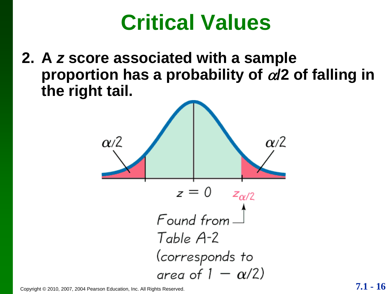#### **Critical Values**

**2. A** *z* **score associated with a sample proportion has a probability of /2 of falling in the right tail.**

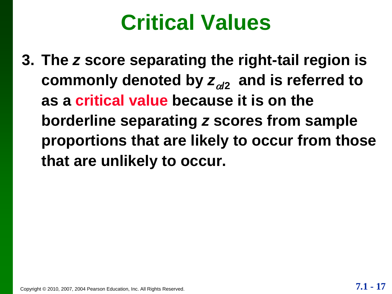#### **Critical Values**

**3. The** *z* **score separating the right-tail region is**  commonly denoted by  $z_{\alpha/2}$  and is referred to **as a critical value because it is on the borderline separating** *z* **scores from sample proportions that are likely to occur from those that are unlikely to occur.**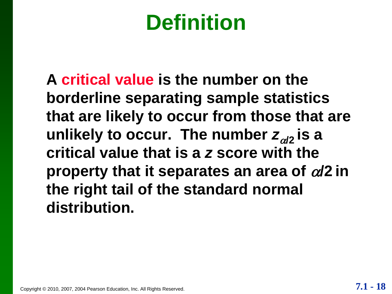## **Definition**

**A critical value is the number on the borderline separating sample statistics that are likely to occur from those that are unlikely to occur. The number**  $z_{\alpha/2}$  **is a critical value that is a** *z* **score with the property that it separates an area of**  $\alpha/2$  **in the right tail of the standard normal distribution.**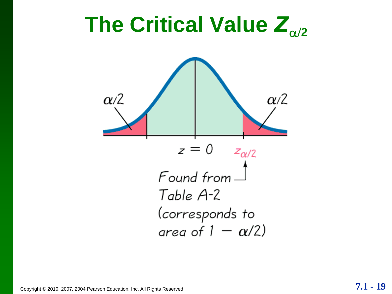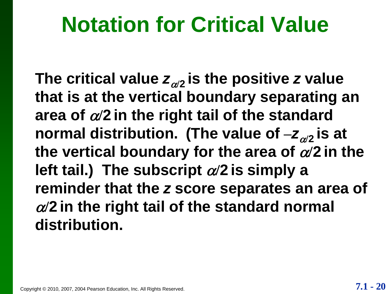#### **Notation for Critical Value**

The critical value  $\mathsf{z}_{\alpha/2}$  is the positive  $\mathsf{z}$  value **that is at the vertical boundary separating an**  area of  $\alpha/2$  in the right tail of the standard normal distribution. (The value of  $-z_{\alpha/2}$  is at the vertical boundary for the area of  $\alpha/2$  in the **left tail.) The subscript**  $\alpha/2$  **is simply a reminder that the** *z* **score separates an area of**   $\alpha$ /2 in the right tail of the standard normal **distribution.**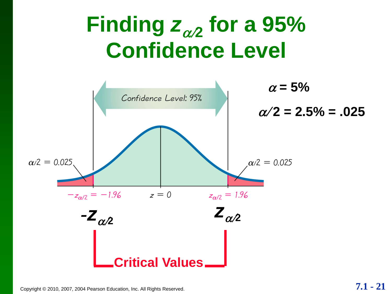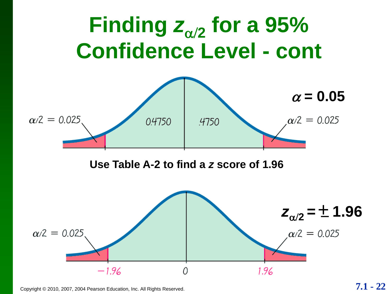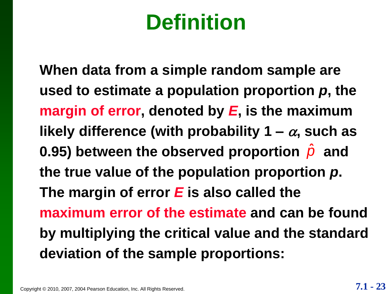## **Definition**

**When data from a simple random sample are used to estimate a population proportion** *p***, the margin of error, denoted by** *E***, is the maximum**  likely difference (with probability  $1 - \alpha$ , such as 0.95) between the observed proportion  $\hat{\rho}$  and **the true value of the population proportion** *p***. The margin of error** *E* **is also called the maximum error of the estimate and can be found by multiplying the critical value and the standard deviation of the sample proportions:**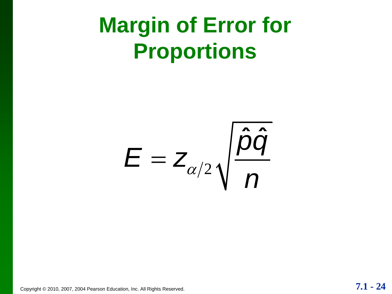## **Margin of Error for Proportions**

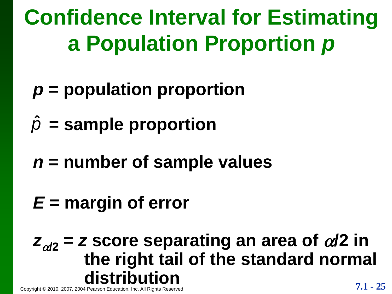- *p* **= population proportion**
- $\hat{v}$  = sample proportion
- *n* **= number of sample values**
- *E* **= margin of error**

# Copyright © 2010, 2007, 2004 Pearson Education, Inc. All Rights Reserved. **7.1 - 25**  $Z_{\alpha/2}$  = *z* score separating an area of  $\alpha/2$  in **the right tail of the standard normal**   $\hat{p}$  = sample propol<br>  $n$  = number of san<br>  $E$  = margin of erro<br>  $z_{\alpha/2}$  = z score sepa<br>
the right tai<br>
distribution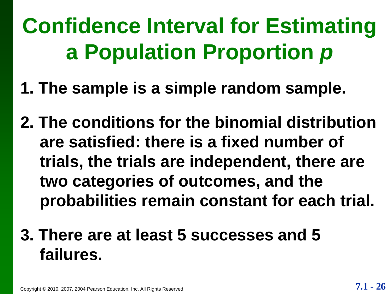- **1. The sample is a simple random sample.**
- **2. The conditions for the binomial distribution are satisfied: there is a fixed number of trials, the trials are independent, there are two categories of outcomes, and the probabilities remain constant for each trial.**

#### **3. There are at least 5 successes and 5 failures.**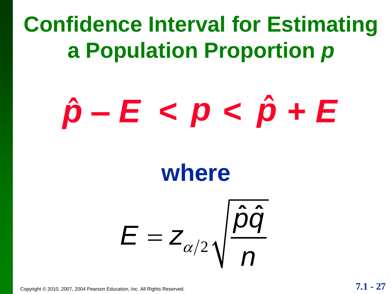# $\hat{p}$ – *E* < *p* <  $\hat{p}$  + *E*

#### **where**

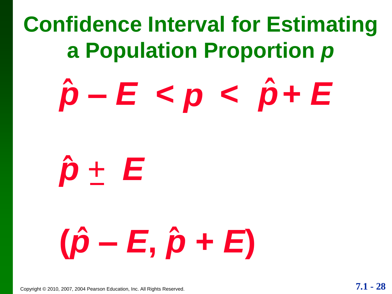# $\hat{p} - E < p < \hat{p} + E$



# **(***p* **ˆ –** *E***,** *p* **ˆ +** *E***)**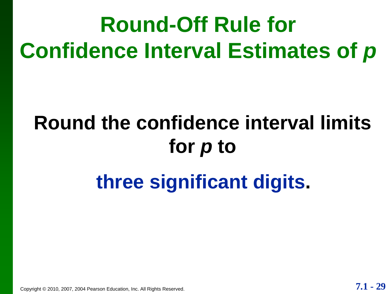# **Round-Off Rule for Confidence Interval Estimates of** *p*

# **Round the confidence interval limits for** *p* **to**

#### **three significant digits.**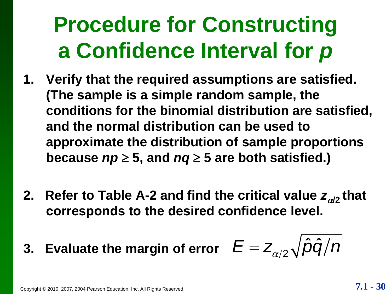# **Procedure for Constructing a Confidence Interval for** *p*

- **1. Verify that the required assumptions are satisfied. (The sample is a simple random sample, the conditions for the binomial distribution are satisfied, and the normal distribution can be used to approximate the distribution of sample proportions because**  $np \geq 5$ **, and**  $nq \geq 5$  **are both satisfied.)**
- **2. Refer to Table A-2 and find the critical value**  $z_{\alpha/2}$  **that corresponds to the desired confidence level.**

corresponds to the desired confidence level.  
3. Evaluate the margin of error 
$$
E = Z_{\alpha/2} \sqrt{\hat{p}\hat{q}/n}
$$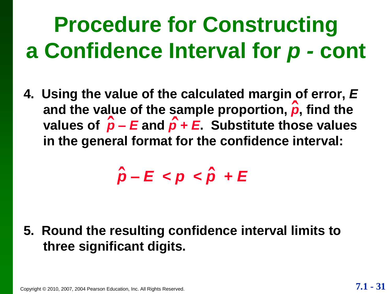# **Procedure for Constructing a Confidence Interval for** *p -* **cont**

**4. Using the value of the calculated margin of error,** *E* and the value of the sample proportion,  $\hat{\boldsymbol{\rho}}$ , find the **values of**  $\hat{\rho}$  **–** *E* and  $\hat{\rho}$  + *E*. Substitute those values **in the general format for the confidence interval:** 

*p* **ˆ –** *E* **<** *p* **<** *p* **ˆ +** *E*

**5. Round the resulting confidence interval limits to three significant digits.**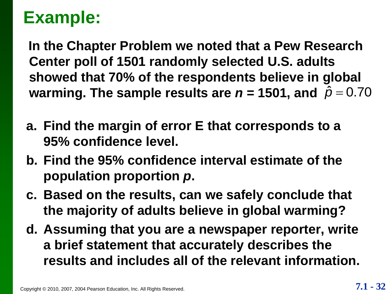**In the Chapter Problem we noted that a Pew Research Center poll of 1501 randomly selected U.S. adults showed that 70% of the respondents believe in global**  warming. The sample results are  $n = 1501$ , and  $\hat{\rho} = 0.70$ 

- **a. Find the margin of error E that corresponds to a 95% confidence level.**
- **b. Find the 95% confidence interval estimate of the population proportion** *p***.**
- **c. Based on the results, can we safely conclude that the majority of adults believe in global warming?**
- **d. Assuming that you are a newspaper reporter, write a brief statement that accurately describes the results and includes all of the relevant information.**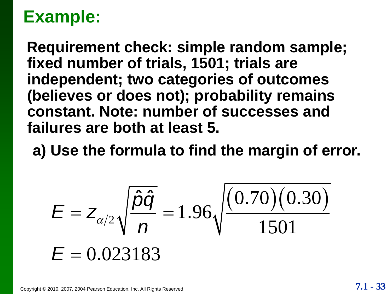**Requirement check: simple random sample; fixed number of trials, 1501; trials are independent; two categories of outcomes (believes or does not); probability remains constant. Note: number of successes and failures are both at least 5.** es not); probability remains<br>
: number of successes and<br>
th at least 5.<br>
mula to find the margin of error.<br>  $\frac{\hat{D}\hat{Q}}{D} = 1.96 \sqrt{\frac{(0.70)(0.30)}{1501}}$ 

**a) Use the formula to find the margin of error.**

lieves or does not); probability remains  
instant. Note: number of successes and  
ures are both at least 5.  
Use the formula to find the margin of el  

$$
E = Z_{\alpha/2} \sqrt{\frac{\hat{p}\hat{q}}{n}} = 1.96 \sqrt{\frac{(0.70)(0.30)}{1501}}
$$

$$
E = 0.023183
$$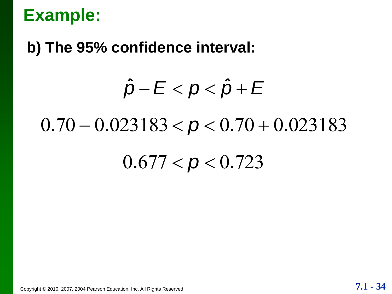#### **b) The 95% confidence interval:**

# $\hat{\rho}$  interval:<br> $\hat{\rho}$   $E$   $<$   $\rho$   $<$   $\hat{\rho}$   $+$   $E$

#### $0.70 - 0.023183 < p < 0.70 + 0.023183$

#### $0.677 < p < 0.723$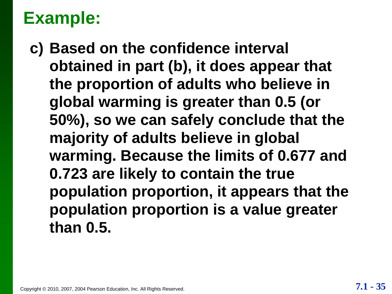**c) Based on the confidence interval obtained in part (b), it does appear that the proportion of adults who believe in global warming is greater than 0.5 (or 50%), so we can safely conclude that the majority of adults believe in global warming. Because the limits of 0.677 and 0.723 are likely to contain the true population proportion, it appears that the population proportion is a value greater than 0.5.**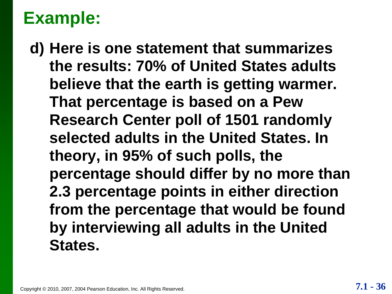**d) Here is one statement that summarizes the results: 70% of United States adults believe that the earth is getting warmer. That percentage is based on a Pew Research Center poll of 1501 randomly selected adults in the United States. In theory, in 95% of such polls, the percentage should differ by no more than 2.3 percentage points in either direction from the percentage that would be found by interviewing all adults in the United States.**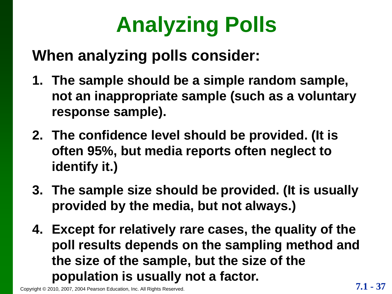# **Analyzing Polls**

#### **When analyzing polls consider:**

- **1. The sample should be a simple random sample, not an inappropriate sample (such as a voluntary response sample).**
- **2. The confidence level should be provided. (It is often 95%, but media reports often neglect to identify it.)**
- **3. The sample size should be provided. (It is usually provided by the media, but not always.)**
- **4. Except for relatively rare cases, the quality of the poll results depends on the sampling method and the size of the sample, but the size of the population is usually not a factor.**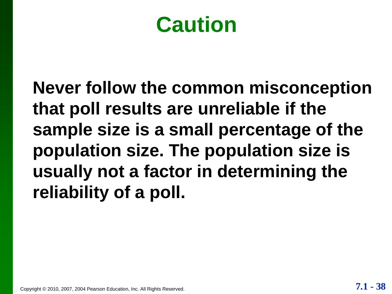#### **Caution**

**Never follow the common misconception that poll results are unreliable if the sample size is a small percentage of the population size. The population size is usually not a factor in determining the reliability of a poll.**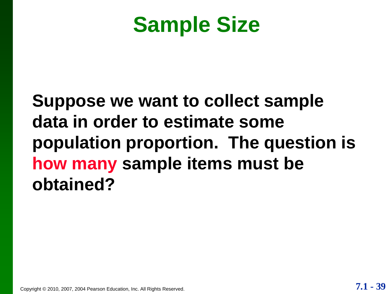#### **Sample Size**

#### **Suppose we want to collect sample data in order to estimate some population proportion. The question is how many sample items must be obtained?**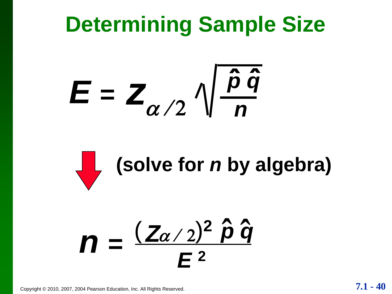## **Determining Sample Size**





#### $(\mathbb{Z}\alpha/2)^2$   $\hat{\rho} \hat{q}$  $n =$ **ˆ** *E* **<sup>2</sup>**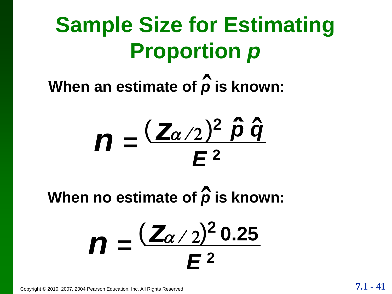# **Sample Size for Estimating Proportion** *p*

**When an estimate of** *p* **ˆ is known:** 



**When no estimate of** *p* **is known: ˆ**

$$
m = \frac{(\mathbb{Z}_{\alpha/2})^2 0.25}{E^2}
$$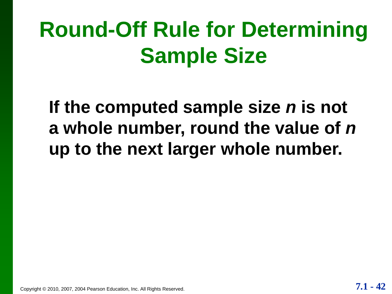# **Round-Off Rule for Determining Sample Size**

**If the computed sample size** *n* **is not a whole number, round the value of** *n* **up to the next larger whole number.**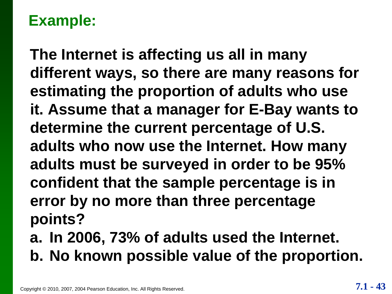**The Internet is affecting us all in many different ways, so there are many reasons for estimating the proportion of adults who use it. Assume that a manager for E-Bay wants to determine the current percentage of U.S. adults who now use the Internet. How many adults must be surveyed in order to be 95% confident that the sample percentage is in error by no more than three percentage points?**

**a. In 2006, 73% of adults used the Internet. b. No known possible value of the proportion.**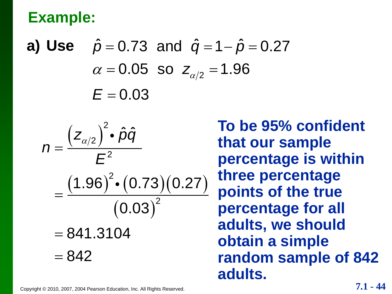**Example:**  
\n**a) Use** 
$$
\hat{p} = 0.73
$$
 and  $\hat{q} = 1 - \hat{p} = 0.27$   
\n $\alpha = 0.05$  so  $z_{\alpha/2} = 1.96$   
\n $E = 0.03$ 

$$
E = 0.03
$$
  
\n
$$
n = \frac{(z_{\alpha/2})^2 \cdot \hat{p}\hat{q}}{E^2}
$$
  
\n
$$
= \frac{(1.96)^2 \cdot (0.73)(0.27)}{(0.03)^2}
$$
  
\n= 841.3104  
\n= 842

**To be 95% confident that our sample percentage is within three percentage points of the true percentage for all adults, we should obtain a simple random sample of 842 adults.**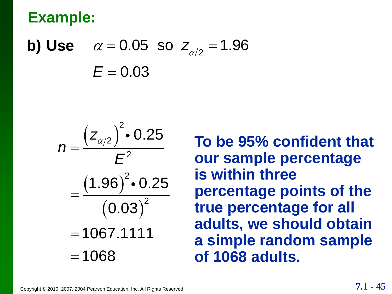**b)** Use  $\alpha = 0.05$  so  $z_{\alpha/2} = 1.96$  $E = 0.03$ 



**To be 95% confident that our sample percentage is within three percentage points of the true percentage for all adults, we should obtain a simple random sample of 1068 adults.**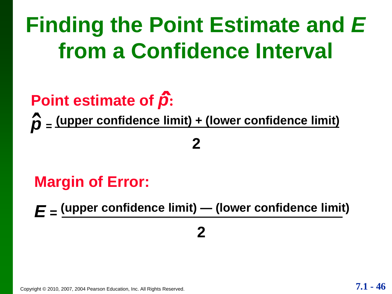# **Finding the Point Estimate and** *E*  **from a Confidence Interval**

# **Point estimate of** *p***: ˆ**

*p* **<sup>=</sup> (upper confidence limit) + (lower confidence limit) ˆ**

#### **2**

#### **Margin of Error:**

*E* **= (upper confidence limit) — (lower confidence limit)**

#### **2**